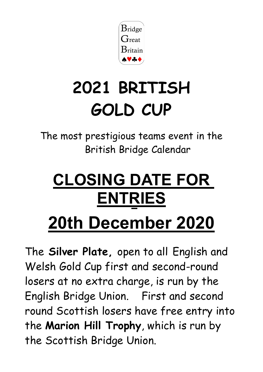

# **2021 BRITISH GOLD CUP**

The most prestigious teams event in the British Bridge Calendar

# **CLOSING DATE FOR ENTRIES**

# **20th December 2020**

The **Silver Plate,** open to all English and Welsh Gold Cup first and second-round losers at no extra charge, is run by the English Bridge Union. First and second round Scottish losers have free entry into the **Marion Hill Trophy**, which is run by the Scottish Bridge Union.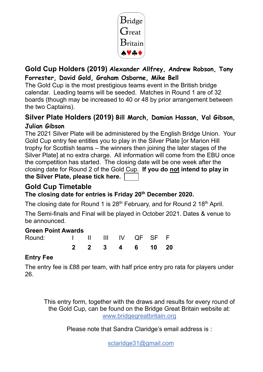

### **Gold Cup Holders (2019) Alexander Allfrey, Andrew Robson, Tony Forrester, David Gold, Graham Osborne, Mike Bell**

The Gold Cup is the most prestigious teams event in the British bridge calendar. Leading teams will be seeded. Matches in Round 1 are of 32 boards (though may be increased to 40 or 48 by prior arrangement between the two Captains).

### **Silver Plate Holders (2019) Bill March, Damian Hassan, Val Gibson, Julian Gibson**

The 2021 Silver Plate will be administered by the English Bridge Union. Your Gold Cup entry fee entitles you to play in the Silver Plate [or Marion Hill trophy for Scottish teams – the winners then joining the later stages of the Silver Plate] at no extra charge. All information will come from the EBU once the competition has started. The closing date will be one week after the closing date for Round 2 of the Gold Cup. **If you do not intend to play in the Silver Plate, please tick here.**

#### **Gold Cup Timetable The closing date for entries is Friday 20th December 2020.**

The closing date for Round 1 is 28<sup>th</sup> February, and for Round 2 18<sup>th</sup> April.

The Semi-finals and Final will be played in October 2021. Dates & venue to be announced.

#### **Green Point Awards**

| Round: |  | I II III IV QF SF F |  |  |
|--------|--|---------------------|--|--|
|        |  | 2 2 3 4 6 10 20     |  |  |

### **Entry Fee**

The entry fee is £88 per team, with half price entry pro rata for players under 26.

This entry form, together with the draws and results for every round of the Gold Cup, can be found on the Bridge Great Britain website at: [www.bridgegreatbritain.org](http://www.bridgegreatbritain.org/)

Please note that Sandra Claridge's email address is :

sclaridge31@gmail.com